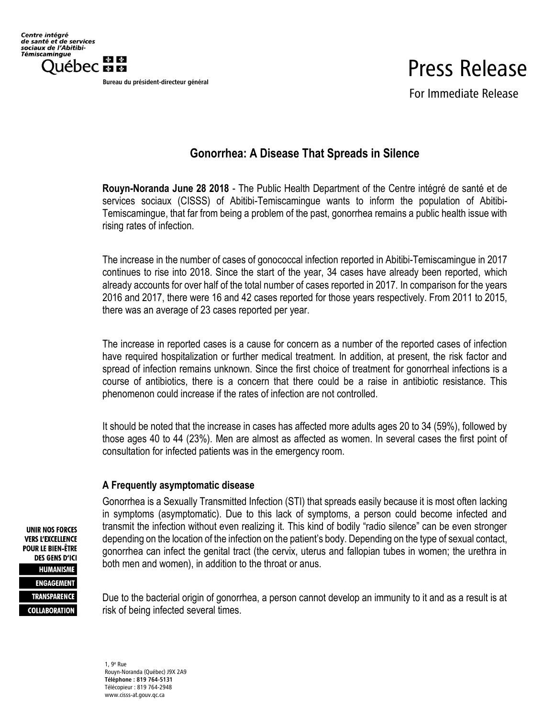Bureau du président-directeur général

## Press Release

For Immediate Release

## **Gonorrhea: A Disease That Spreads in Silence**

**Rouyn-Noranda June 28 2018** - The Public Health Department of the Centre intégré de santé et de services sociaux (CISSS) of Abitibi-Temiscamingue wants to inform the population of Abitibi-Temiscamingue, that far from being a problem of the past, gonorrhea remains a public health issue with rising rates of infection.

The increase in the number of cases of gonococcal infection reported in Abitibi-Temiscamingue in 2017 continues to rise into 2018. Since the start of the year, 34 cases have already been reported, which already accounts for over half of the total number of cases reported in 2017. In comparison for the years 2016 and 2017, there were 16 and 42 cases reported for those years respectively. From 2011 to 2015, there was an average of 23 cases reported per year.

The increase in reported cases is a cause for concern as a number of the reported cases of infection have required hospitalization or further medical treatment. In addition, at present, the risk factor and spread of infection remains unknown. Since the first choice of treatment for gonorrheal infections is a course of antibiotics, there is a concern that there could be a raise in antibiotic resistance. This phenomenon could increase if the rates of infection are not controlled.

It should be noted that the increase in cases has affected more adults ages 20 to 34 (59%), followed by those ages 40 to 44 (23%). Men are almost as affected as women. In several cases the first point of consultation for infected patients was in the emergency room.

## **A Frequently asymptomatic disease**

Gonorrhea is a Sexually Transmitted Infection (STI) that spreads easily because it is most often lacking in symptoms (asymptomatic). Due to this lack of symptoms, a person could become infected and transmit the infection without even realizing it. This kind of bodily "radio silence" can be even stronger depending on the location of the infection on the patient's body. Depending on the type of sexual contact, gonorrhea can infect the genital tract (the cervix, uterus and fallopian tubes in women; the urethra in both men and women), in addition to the throat or anus.

Due to the bacterial origin of gonorrhea, a person cannot develop an immunity to it and as a result is at risk of being infected several times.

**UNIR NOS FORCES VERS L'EXCELLENCE POUR LE BIEN-ÊTRE DES GENS D'ICI HUMANISME ENGAGEMENT TRANSPARENCE COLLABORATION** 

> 1, 9<sup>e</sup> Rue Rouyn-Noranda (Québec) J9X 2A9 Téléphone : 819 764-5131 Télécopieur : 819 764-2948 www.cisss-at.gouv.qc.ca